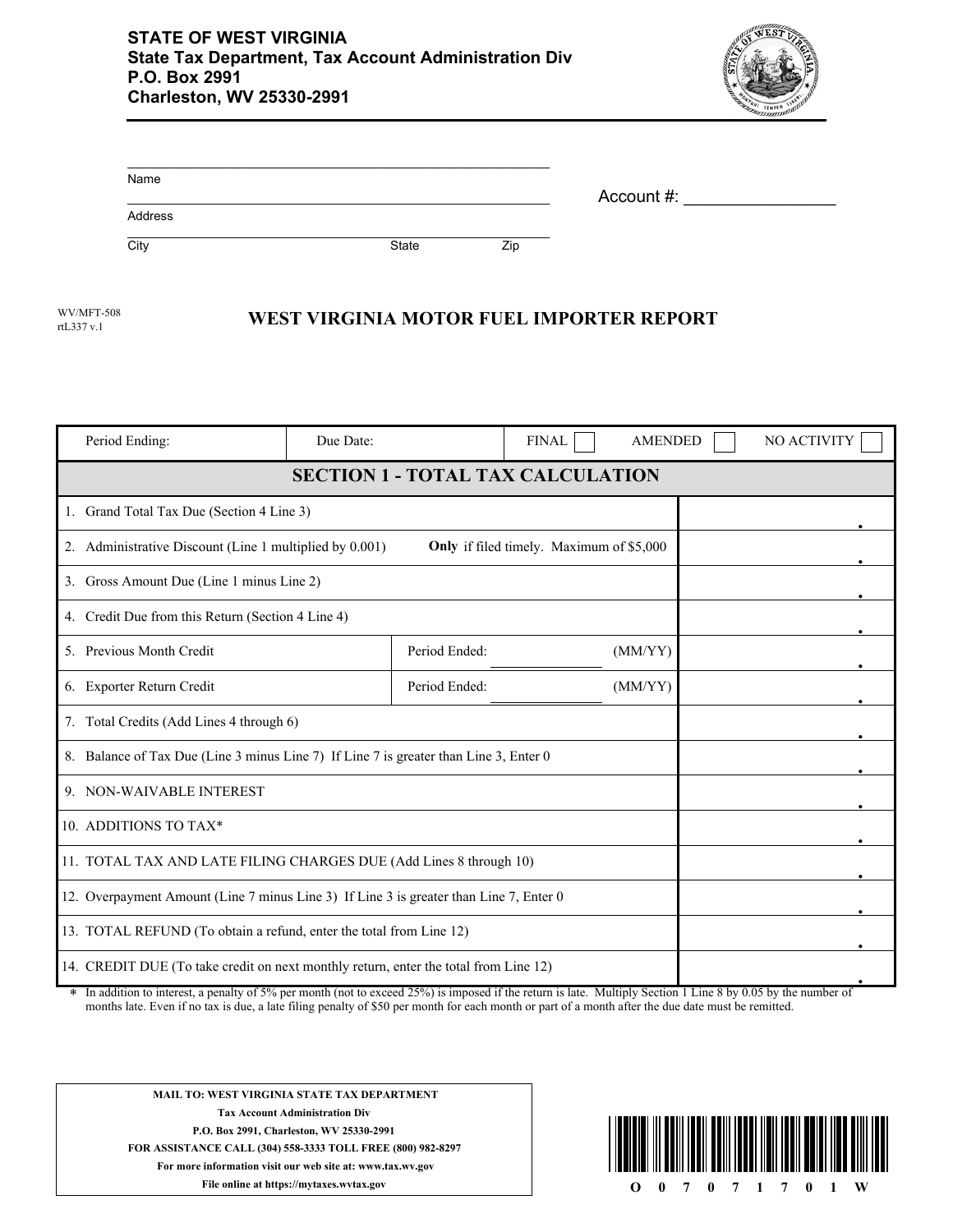

| Name    |       |     | Account #: |
|---------|-------|-----|------------|
| Address |       |     |            |
| City    | State | Zip |            |

rtL337 v.1

## WV/MFT-508 **WEST VIRGINIA MOTOR FUEL IMPORTER REPORT**

| Period Ending:                                                                                                                                                                                                                                           | Due Date: |               | <b>FINAL</b>                             | <b>AMENDED</b> |  | NO ACTIVITY |
|----------------------------------------------------------------------------------------------------------------------------------------------------------------------------------------------------------------------------------------------------------|-----------|---------------|------------------------------------------|----------------|--|-------------|
| <b>SECTION 1 - TOTAL TAX CALCULATION</b>                                                                                                                                                                                                                 |           |               |                                          |                |  |             |
| 1. Grand Total Tax Due (Section 4 Line 3)                                                                                                                                                                                                                |           |               |                                          |                |  |             |
| 2. Administrative Discount (Line 1 multiplied by 0.001)                                                                                                                                                                                                  |           |               | Only if filed timely. Maximum of \$5,000 |                |  |             |
| 3. Gross Amount Due (Line 1 minus Line 2)                                                                                                                                                                                                                |           |               |                                          |                |  |             |
| 4. Credit Due from this Return (Section 4 Line 4)                                                                                                                                                                                                        |           |               |                                          |                |  |             |
| 5. Previous Month Credit                                                                                                                                                                                                                                 |           | Period Ended: |                                          | (MM/YY)        |  |             |
| 6. Exporter Return Credit                                                                                                                                                                                                                                |           | Period Ended: |                                          | (MM/YY)        |  |             |
| 7. Total Credits (Add Lines 4 through 6)                                                                                                                                                                                                                 |           |               |                                          |                |  |             |
| 8. Balance of Tax Due (Line 3 minus Line 7) If Line 7 is greater than Line 3, Enter 0                                                                                                                                                                    |           |               |                                          |                |  |             |
| 9. NON-WAIVABLE INTEREST                                                                                                                                                                                                                                 |           |               |                                          |                |  |             |
| 10. ADDITIONS TO TAX*                                                                                                                                                                                                                                    |           |               |                                          |                |  |             |
| 11. TOTAL TAX AND LATE FILING CHARGES DUE (Add Lines 8 through 10)                                                                                                                                                                                       |           |               |                                          |                |  |             |
| 12. Overpayment Amount (Line 7 minus Line 3) If Line 3 is greater than Line 7, Enter 0                                                                                                                                                                   |           |               |                                          |                |  |             |
| 13. TOTAL REFUND (To obtain a refund, enter the total from Line 12)                                                                                                                                                                                      |           |               |                                          |                |  |             |
| 14. CREDIT DUE (To take credit on next monthly return, enter the total from Line 12)<br>$\star$ In addition to interest, a negative f 50/ nor meanth (not to exceed 250/) is imposed if the rature is lote. Multiply Geotian 1 I inc. 8 by 0.05 by the m |           |               |                                          |                |  |             |

In addition to interest, a penalty of 5% per month (not to exceed 25%) is imposed if the return is late. Multiply Section 1 Line 8 by 0.05 by the number of months late. Even if no tax is due, a late filing penalty of \$50 per month for each month or part of a month after the due date must be remitted.



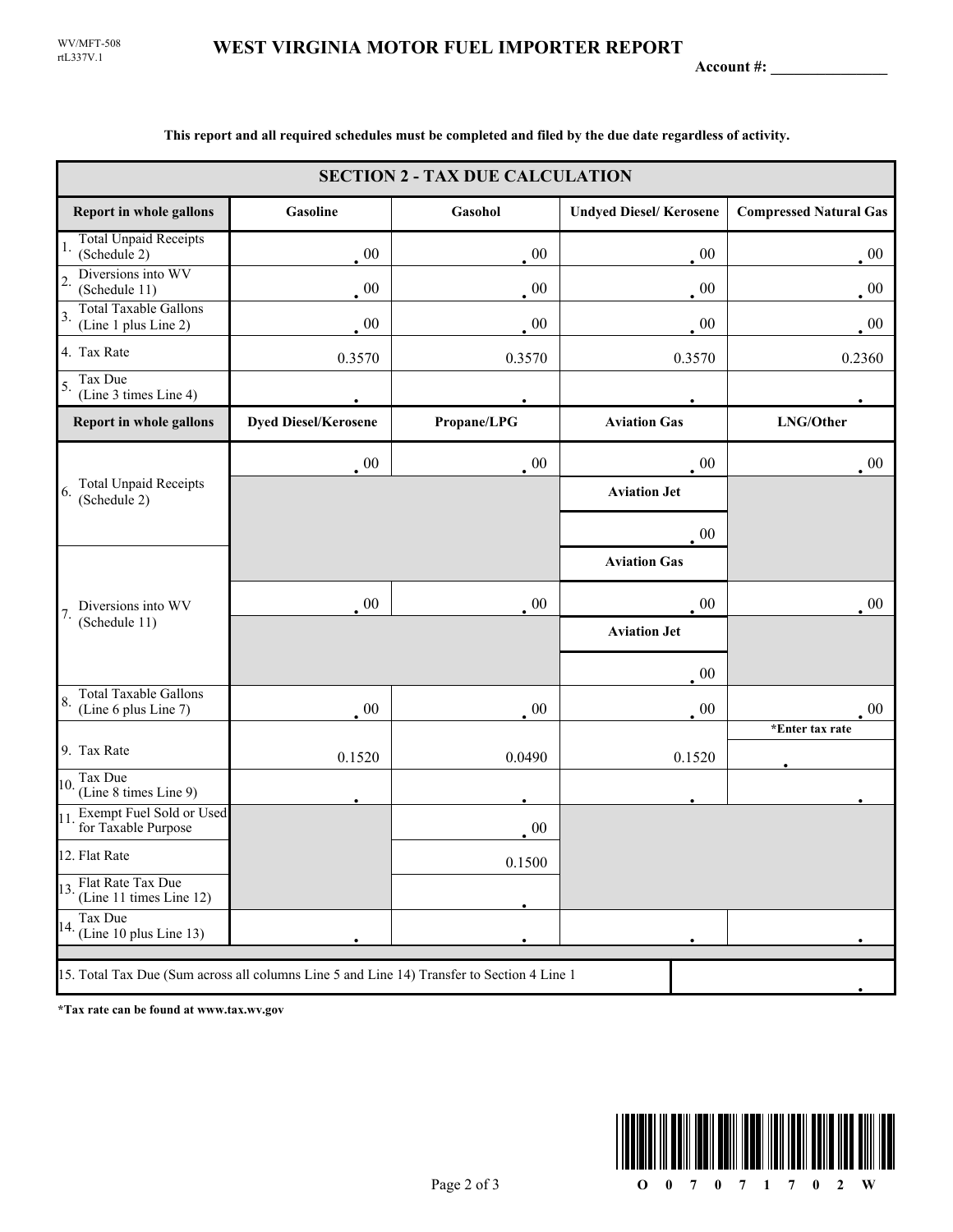rtL337V.1 WV/MFT-508

**Account #: \_\_\_\_\_\_\_\_\_\_\_\_\_\_\_**

| <b>SECTION 2 - TAX DUE CALCULATION</b>                                                     |                             |             |                               |                               |  |
|--------------------------------------------------------------------------------------------|-----------------------------|-------------|-------------------------------|-------------------------------|--|
| <b>Report in whole gallons</b>                                                             | Gasoline                    | Gasohol     | <b>Undyed Diesel/Kerosene</b> | <b>Compressed Natural Gas</b> |  |
| <b>Total Unpaid Receipts</b><br>1.<br>(Schedule 2)                                         | $00\,$                      | $00\,$      | $00\,$                        | $00\,$                        |  |
| Diversions into WV<br>$\overline{2}$ .<br>(Schedule 11)                                    | $00\,$                      | 00          | $00\,$                        | $00\,$                        |  |
| <b>Total Taxable Gallons</b><br>3.<br>(Line 1 plus Line 2)                                 | $\cdot$ 00                  | 00          | 00                            | $00\,$                        |  |
| 4. Tax Rate                                                                                | 0.3570                      | 0.3570      | 0.3570                        | 0.2360                        |  |
| Tax Due<br>5.<br>(Line 3 times Line 4)                                                     |                             |             |                               |                               |  |
| Report in whole gallons                                                                    | <b>Dyed Diesel/Kerosene</b> | Propane/LPG | <b>Aviation Gas</b>           | LNG/Other                     |  |
|                                                                                            | $\cdot$ 00                  | $00\,$      | $00\,$                        | $00\,$                        |  |
| <b>Total Unpaid Receipts</b><br>6.<br>(Schedule 2)                                         |                             |             | <b>Aviation Jet</b>           |                               |  |
|                                                                                            |                             |             | $00\,$                        |                               |  |
|                                                                                            |                             |             | <b>Aviation Gas</b>           |                               |  |
| Diversions into WV<br>7.<br>(Schedule 11)                                                  | $\sim 00$                   | 00          | $00\,$                        | $00\,$                        |  |
|                                                                                            |                             |             | <b>Aviation Jet</b>           |                               |  |
|                                                                                            |                             |             | $00\,$                        |                               |  |
| <b>Total Taxable Gallons</b><br>8.<br>(Line 6 plus Line 7)                                 | $00\,$                      | $00\,$      | $00\,$                        | $00\,$                        |  |
| 9. Tax Rate                                                                                |                             |             |                               | *Enter tax rate               |  |
| Tax Due<br>10.                                                                             | 0.1520                      | 0.0490      | 0.1520                        |                               |  |
| (Line 8 times Line 9)                                                                      |                             |             |                               |                               |  |
| Exempt Fuel Sold or Used<br>11<br>for Taxable Purpose                                      |                             | 00          |                               |                               |  |
| 12. Flat Rate                                                                              |                             | 0.1500      |                               |                               |  |
| 13. Flat Rate Tax Due<br>(Line 11 times Line 12)                                           |                             |             |                               |                               |  |
| Tax Due<br>14. (Line $10$ plus Line 13)                                                    |                             |             |                               |                               |  |
| 15. Total Tax Due (Sum across all columns Line 5 and Line 14) Transfer to Section 4 Line 1 |                             |             |                               |                               |  |

**This report and all required schedules must be completed and filed by the due date regardless of activity.**

**\*Tax rate can be found at www.tax.wv.gov**